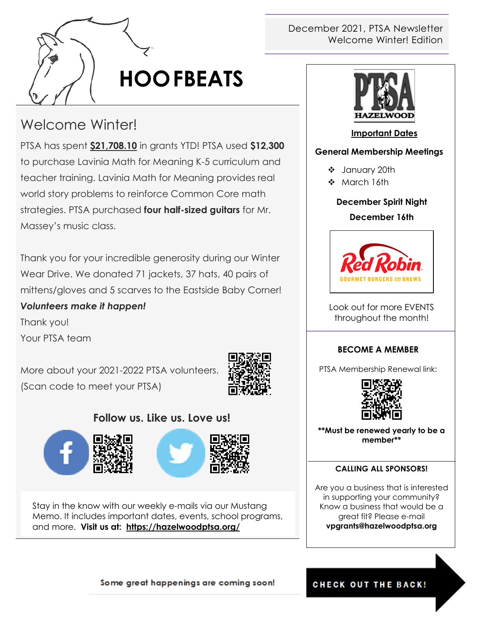

# **HOOFBEATS**

# Welcome Winter!

PTSA has spent **\$21,708.10** in grants YTD! PTSA used **\$12,300**  to purchase Lavinia Math for Meaning K-5 curriculum and teacher training. Lavinia Math for Meaning provides real world story problems to reinforce Common Core math strategies. PTSA purchased **four half-sized guitars** for Mr. Massey's music class.

Thank you for your incredible generosity during our Winter Wear Drive. We donated 71 jackets, 37 hats, 40 pairs of mittens/gloves and 5 scarves to the Eastside Baby Corner!

### *Volunteers make it happen!*

Thank you!

Your PTSA team

More about your 2021-2022 PTSA volunteers. (Scan code to meet your PTSA)



### **Follow us. Like us. Love us!**





Stay in the know with our weekly e-mails via our Mustang Memo. It includes important dates, events, school programs, and more. **Visit us at: <https://hazelwoodptsa.org/>**

### December 2021, PTSA Newsletter Welcome Winter! Edition



#### **Important Dates**

#### **General Membership Meetings**

- January 20th
- ❖ March 16th

#### **December Spirit Night**

#### **December 16th**



Look out for more EVENTS throughout the month!

#### **BECOME A MEMBER**

PTSA Membership Renewal link:



**\*\*Must be renewed yearly to be a member\*\***

#### **CALLING ALL SPONSORS!**

Are you a business that is interested in supporting your community? Know a business that would be a great fit? Please e-mail **vpgrants@hazelwoodptsa.org**

#### Some great happenings are coming soon!

#### **CHECK OUT THE BACK!**